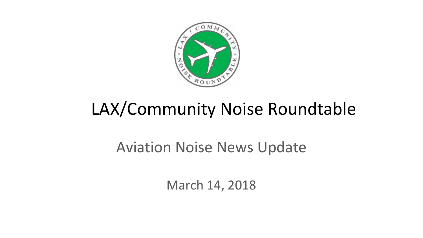

# LAX/Community Noise Roundtable

### Aviation Noise News Update

March 14, 2018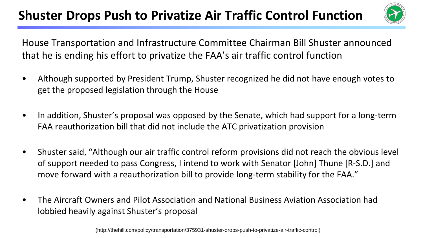#### **Shuster Drops Push to Privatize Air Traffic Control Function**



House Transportation and Infrastructure Committee Chairman Bill Shuster announced that he is ending his effort to privatize the FAA's air traffic control function

- Although supported by President Trump, Shuster recognized he did not have enough votes to get the proposed legislation through the House
- In addition, Shuster's proposal was opposed by the Senate, which had support for a long-term FAA reauthorization bill that did not include the ATC privatization provision
- Shuster said, "Although our air traffic control reform provisions did not reach the obvious level of support needed to pass Congress, I intend to work with Senator [John] Thune [R-S.D.] and move forward with a reauthorization bill to provide long-term stability for the FAA."
- The Aircraft Owners and Pilot Association and National Business Aviation Association had lobbied heavily against Shuster's proposal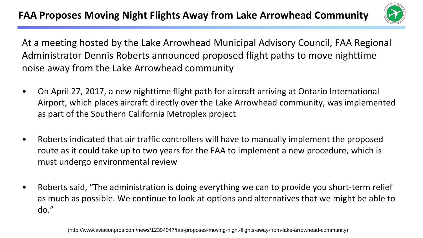

At a meeting hosted by the Lake Arrowhead Municipal Advisory Council, FAA Regional Administrator Dennis Roberts announced proposed flight paths to move nighttime noise away from the Lake Arrowhead community

- On April 27, 2017, a new nighttime flight path for aircraft arriving at Ontario International Airport, which places aircraft directly over the Lake Arrowhead community, was implemented as part of the Southern California Metroplex project
- Roberts indicated that air traffic controllers will have to manually implement the proposed route as it could take up to two years for the FAA to implement a new procedure, which is must undergo environmental review
- Roberts said, "The administration is doing everything we can to provide you short-term relief as much as possible. We continue to look at options and alternatives that we might be able to do."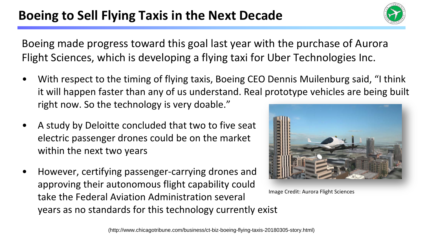#### Boeing to Sell Flying Taxis in the Next Decade



Boeing made progress toward this goal last year with the purchase of Aurora Flight Sciences, which is developing a flying taxi for Uber Technologies Inc.

- With respect to the timing of flying taxis, Boeing CEO Dennis Muilenburg said, "I think it will happen faster than any of us understand. Real prototype vehicles are being built right now. So the technology is very doable."
- A study by Deloitte concluded that two to five seat electric passenger drones could be on the market within the next two years
- However, certifying passenger-carrying drones and approving their autonomous flight capability could take the Federal Aviation Administration several years as no standards for this technology currently exist



Image Credit: Aurora Flight Sciences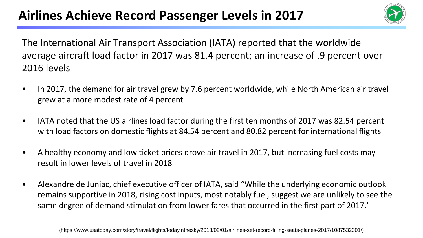

The International Air Transport Association (IATA) reported that the worldwide average aircraft load factor in 2017 was 81.4 percent; an increase of .9 percent over 2016 levels

- In 2017, the demand for air travel grew by 7.6 percent worldwide, while North American air travel grew at a more modest rate of 4 percent
- IATA noted that the US airlines load factor during the first ten months of 2017 was 82.54 percent with load factors on domestic flights at 84.54 percent and 80.82 percent for international flights
- A healthy economy and low ticket prices drove air travel in 2017, but increasing fuel costs may result in lower levels of travel in 2018
- Alexandre de Juniac, chief executive officer of IATA, said "While the underlying economic outlook remains supportive in 2018, rising cost inputs, most notably fuel, suggest we are unlikely to see the same degree of demand stimulation from lower fares that occurred in the first part of 2017."